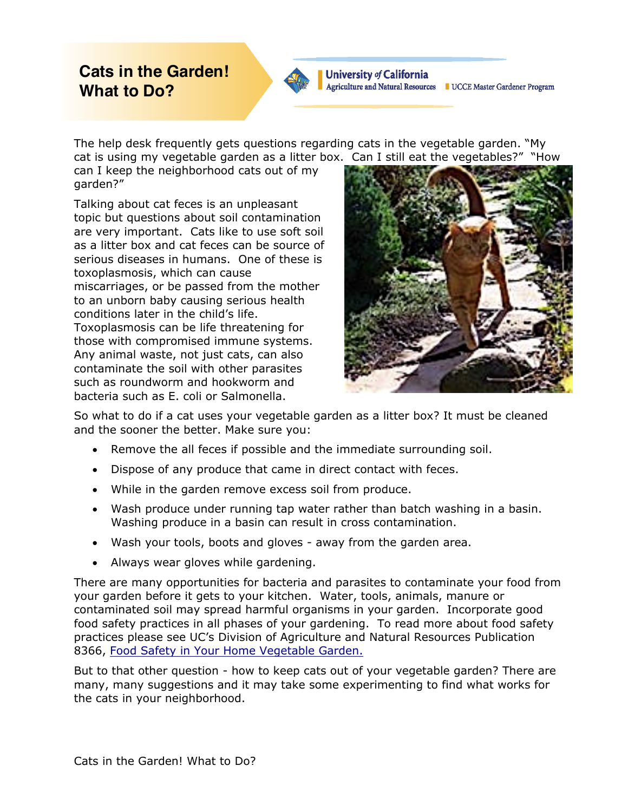## **Cats in the Garden! What to Do?**



The help desk frequently gets questions regarding cats in the vegetable garden. "My cat is using my vegetable garden as a litter box. Can I still eat the vegetables?" "How

can I keep the neighborhood cats out of my garden?"

Talking about cat feces is an unpleasant topic but questions about soil contamination are very important. Cats like to use soft soil as a litter box and cat feces can be source of serious diseases in humans. One of these is toxoplasmosis, which can cause miscarriages, or be passed from the mother to an unborn baby causing serious health conditions later in the child's life. Toxoplasmosis can be life threatening for those with compromised immune systems. Any animal waste, not just cats, can also contaminate the soil with other parasites such as roundworm and hookworm and bacteria such as E. coli or Salmonella.



So what to do if a cat uses your vegetable garden as a litter box? It must be cleaned and the sooner the better. Make sure you:

- Remove the all feces if possible and the immediate surrounding soil.
- Dispose of any produce that came in direct contact with feces.
- While in the garden remove excess soil from produce.
- Wash produce under running tap water rather than batch washing in a basin. Washing produce in a basin can result in cross contamination.
- Wash your tools, boots and gloves away from the garden area.
- Always wear gloves while gardening.

There are many opportunities for bacteria and parasites to contaminate your food from your garden before it gets to your kitchen. Water, tools, animals, manure or contaminated soil may spread harmful organisms in your garden. Incorporate good food safety practices in all phases of your gardening. To read more about food safety practices please see UC's Division of Agriculture and Natural Resources Publication 8366, Food Safety in Your Home Vegetable Garden.

But to that other question - how to keep cats out of your vegetable garden? There are many, many suggestions and it may take some experimenting to find what works for the cats in your neighborhood.